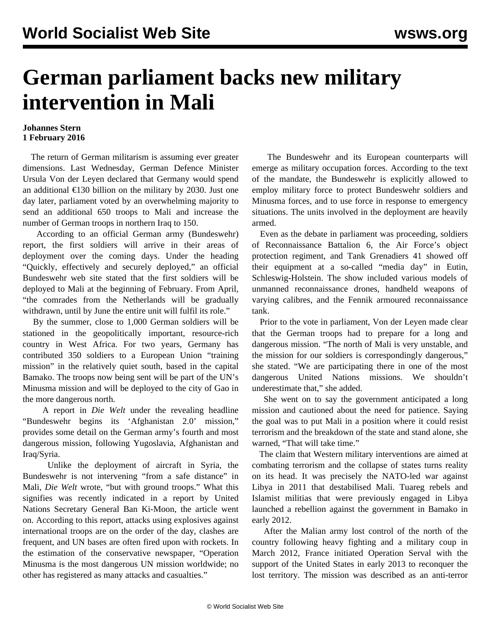## **German parliament backs new military intervention in Mali**

## **Johannes Stern 1 February 2016**

 The return of German militarism is assuming ever greater dimensions. Last Wednesday, German Defence Minister Ursula Von der Leyen declared that Germany would spend an additional  $\epsilon$ 130 billion on the military by 2030. Just one day later, parliament voted by an overwhelming majority to send an additional 650 troops to Mali and increase the number of German troops in northern Iraq to 150.

 According to an official German army (Bundeswehr) report, the first soldiers will arrive in their areas of deployment over the coming days. Under the heading "Quickly, effectively and securely deployed," an official Bundeswehr web site stated that the first soldiers will be deployed to Mali at the beginning of February. From April, "the comrades from the Netherlands will be gradually withdrawn, until by June the entire unit will fulfil its role."

 By the summer, close to 1,000 German soldiers will be stationed in the geopolitically important, resource-rich country in West Africa. For two years, Germany has contributed 350 soldiers to a European Union "training mission" in the relatively quiet south, based in the capital Bamako. The troops now being sent will be part of the UN's Minusma mission and will be deployed to the city of Gao in the more dangerous north.

 A report in *Die Welt* under the revealing headline "Bundeswehr begins its 'Afghanistan 2.0' mission," provides some detail on the German army's fourth and most dangerous mission, following Yugoslavia, Afghanistan and Iraq/Syria.

 Unlike the deployment of aircraft in Syria, the Bundeswehr is not intervening "from a safe distance" in Mali, *Die Welt* wrote, "but with ground troops." What this signifies was recently indicated in a report by United Nations Secretary General Ban Ki-Moon, the article went on. According to this report, attacks using explosives against international troops are on the order of the day, clashes are frequent, and UN bases are often fired upon with rockets. In the estimation of the conservative newspaper, "Operation Minusma is the most dangerous UN mission worldwide; no other has registered as many attacks and casualties."

 The Bundeswehr and its European counterparts will emerge as military occupation forces. According to the text of the mandate, the Bundeswehr is explicitly allowed to employ military force to protect Bundeswehr soldiers and Minusma forces, and to use force in response to emergency situations. The units involved in the deployment are heavily armed.

 Even as the debate in parliament was proceeding, soldiers of Reconnaissance Battalion 6, the Air Force's object protection regiment, and Tank Grenadiers 41 showed off their equipment at a so-called "media day" in Eutin, Schleswig-Holstein. The show included various models of unmanned reconnaissance drones, handheld weapons of varying calibres, and the Fennik armoured reconnaissance tank.

 Prior to the vote in parliament, Von der Leyen made clear that the German troops had to prepare for a long and dangerous mission. "The north of Mali is very unstable, and the mission for our soldiers is correspondingly dangerous," she stated. "We are participating there in one of the most dangerous United Nations missions. We shouldn't underestimate that," she added.

 She went on to say the government anticipated a long mission and cautioned about the need for patience. Saying the goal was to put Mali in a position where it could resist terrorism and the breakdown of the state and stand alone, she warned, "That will take time."

 The claim that Western military interventions are aimed at combating terrorism and the collapse of states turns reality on its head. It was precisely the NATO-led war against Libya in 2011 that destabilised Mali. Tuareg rebels and Islamist militias that were previously engaged in Libya launched a rebellion against the government in Bamako in early 2012.

 After the Malian army lost control of the north of the country following heavy fighting and a military coup in March 2012, France initiated Operation Serval with the support of the United States in early 2013 to reconquer the lost territory. The mission was described as an anti-terror